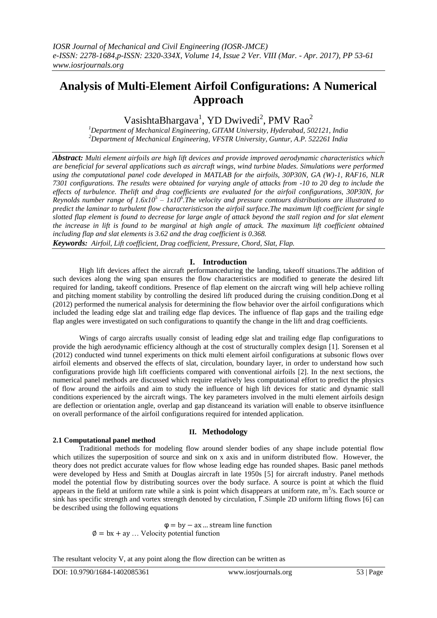# **Analysis of Multi-Element Airfoil Configurations: A Numerical Approach**

VasishtaBhargava<sup>1</sup>, YD Dwivedi<sup>2</sup>, PMV Rao<sup>2</sup>

*<sup>1</sup>Department of Mechanical Engineering, GITAM University, Hyderabad, 502121, India <sup>2</sup>Department of Mechanical Engineering, VFSTR University, Guntur, A.P. 522261 India*

*Abstract: Multi element airfoils are high lift devices and provide improved aerodynamic characteristics which are beneficial for several applications such as aircraft wings, wind turbine blades. Simulations were performed using the computational panel code developed in MATLAB for the airfoils, 30P30N, GA (W)-1, RAF16, NLR 7301 configurations. The results were obtained for varying angle of attacks from -10 to 20 deg to include the effects of turbulence. Thelift and drag coefficients are evaluated for the airfoil configurations, 30P30N, for Reynolds number range of*  $1.6x10^5 - 1x10^6$ *. The velocity and pressure contours distributions are illustrated to predict the laminar to turbulent flow characteristicson the airfoil surface.The maximum lift coefficient for single slotted flap element is found to decrease for large angle of attack beyond the stall region and for slat element the increase in lift is found to be marginal at high angle of attack. The maximum lift coefficient obtained including flap and slat elements is 3.62 and the drag coefficient is 0.368.*

*Keywords: Airfoil, Lift coefficient, Drag coefficient, Pressure, Chord, Slat, Flap.*

## **I. Introduction**

High lift devices affect the aircraft performanceduring the landing, takeoff situations.The addition of such devices along the wing span ensures the flow characteristics are modified to generate the desired lift required for landing, takeoff conditions. Presence of flap element on the aircraft wing will help achieve rolling and pitching moment stability by controlling the desired lift produced during the cruising condition.Dong et al (2012) performed the numerical analysis for determining the flow behavior over the airfoil configurations which included the leading edge slat and trailing edge flap devices. The influence of flap gaps and the trailing edge flap angles were investigated on such configurations to quantify the change in the lift and drag coefficients.

Wings of cargo aircrafts usually consist of leading edge slat and trailing edge flap configurations to provide the high aerodynamic efficiency although at the cost of structurally complex design [1]. Sorensen et al (2012) conducted wind tunnel experiments on thick multi element airfoil configurations at subsonic flows over airfoil elements and observed the effects of slat, circulation, boundary layer, in order to understand how such configurations provide high lift coefficients compared with conventional airfoils [2]. In the next sections, the numerical panel methods are discussed which require relatively less computational effort to predict the physics of flow around the airfoils and aim to study the influence of high lift devices for static and dynamic stall conditions experienced by the aircraft wings. The key parameters involved in the multi element airfoils design are deflection or orientation angle, overlap and gap distanceand its variation will enable to observe itsinfluence on overall performance of the airfoil configurations required for intended application.

## **II. Methodology**

## **2.1 Computational panel method**

Traditional methods for modeling flow around slender bodies of any shape include potential flow which utilizes the superposition of source and sink on x axis and in uniform distributed flow. However, the theory does not predict accurate values for flow whose leading edge has rounded shapes. Basic panel methods were developed by Hess and Smith at Douglas aircraft in late 1950s [5] for aircraft industry. Panel methods model the potential flow by distributing sources over the body surface. A source is point at which the fluid appears in the field at uniform rate while a sink is point which disappears at uniform rate,  $m^3/s$ . Each source or sink has specific strength and vortex strength denoted by circulation, Г.Simple 2D uniform lifting flows [6] can be described using the following equations

> φ= by−ax … stream line function  $\varnothing = bx + ay$  ... Velocity potential function

The resultant velocity V, at any point along the flow direction can be written as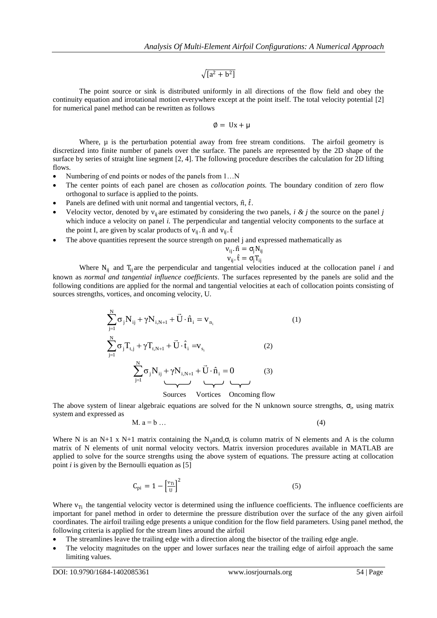$\sqrt{[a^2 + b^2]}$ 

The point source or sink is distributed uniformly in all directions of the flow field and obey the continuity equation and irrotational motion everywhere except at the point itself. The total velocity potential [2] for numerical panel method can be rewritten as follows

$$
\emptyset = Ux + \mu
$$

Where,  $\mu$  is the perturbation potential away from free stream conditions. The airfoil geometry is discretized into finite number of panels over the surface. The panels are represented by the 2D shape of the surface by series of straight line segment [2, 4]. The following procedure describes the calculation for 2D lifting flows.

- Numbering of end points or nodes of the panels from 1…N
- The center points of each panel are chosen as *collocation points.* The boundary condition of zero flow orthogonal to surface is applied to the points.
- Panels are defined with unit normal and tangential vectors,  $\hat{n}$ ,  $\hat{t}$ .
- Velocity vector, denoted by  $v_{ii}$  are estimated by considering the two panels, *i & j* the source on the panel *j* which induce a velocity on panel *i*. The perpendicular and tangential velocity components to the surface at the point I, are given by scalar products of  $v_{ii}$ .  $\hat{\mathbf{n}}$  and  $v_{ii}$ .  $\hat{\mathbf{t}}$
- The above quantities represent the source strength on panel j and expressed mathematically as

$$
\begin{aligned} v_{ij}.\, \hat{n} &= \sigma_j N_{ij} \\ v_{ij}.\, \hat{t} &= \sigma_j T_{ij} \end{aligned}
$$

Where  $N_{ij}$  and  $T_{ij}$  are the perpendicular and tangential velocities induced at the collocation panel *i* and known as *normal and tangential influence coefficients*. The surfaces represented by the panels are solid and the following conditions are applied for the normal and tangential velocities at each of collocation points consisting of sources strengths, vortices, and oncoming velocity, U.

$$
\sum_{j=1}^{N} \sigma_{j} N_{ij} + \gamma N_{i,N+1} + \vec{U} \cdot \hat{n}_{i} = v_{n_{i}}
$$
\n
$$
\sum_{j=1}^{N} \sigma_{j} T_{t,j} + \gamma T_{t,N+1} + \vec{U} \cdot \hat{t}_{i} = v_{s_{i}}
$$
\n
$$
\sum_{j=1}^{N} \sigma_{j} N_{ij} + \gamma N_{i,N+1} + \vec{U} \cdot \hat{n}_{i} = 0
$$
\n(3)\n
$$
\sum_{j=1}^{N} \sigma_{j} N_{ij} + \gamma N_{i,N+1} + \vec{U} \cdot \hat{n}_{i} = 0
$$
\n(3)\n
$$
\sum_{j=1}^{N} \sigma_{j} N_{ij} + \gamma N_{i,N+1} + \vec{U} \cdot \hat{n}_{i} = 0
$$
\n(4)

The above system of linear algebraic equations are solved for the N unknown source strengths,  $\sigma_i$ , using matrix system and expressed as

$$
M. a = b \dots \tag{4}
$$

Where N is an N+1 x N+1 matrix containing the N<sub>ij</sub>and, $\sigma_i$  is column matrix of N elements and A is the column matrix of N elements of unit normal velocity vectors. Matrix inversion procedures available in MATLAB are applied to solve for the source strengths using the above system of equations. The pressure acting at collocation point *i* is given by the Bernoulli equation as [5]

$$
C_{\rm pi} = 1 - \left[\frac{v_{\rm Ti}}{U}\right]^2 \tag{5}
$$

Where  $v_{Ti}$  the tangential velocity vector is determined using the influence coefficients. The influence coefficients are important for panel method in order to determine the pressure distribution over the surface of the any given airfoil coordinates. The airfoil trailing edge presents a unique condition for the flow field parameters. Using panel method, the following criteria is applied for the stream lines around the airfoil

- The streamlines leave the trailing edge with a direction along the bisector of the trailing edge angle.
- The velocity magnitudes on the upper and lower surfaces near the trailing edge of airfoil approach the same limiting values.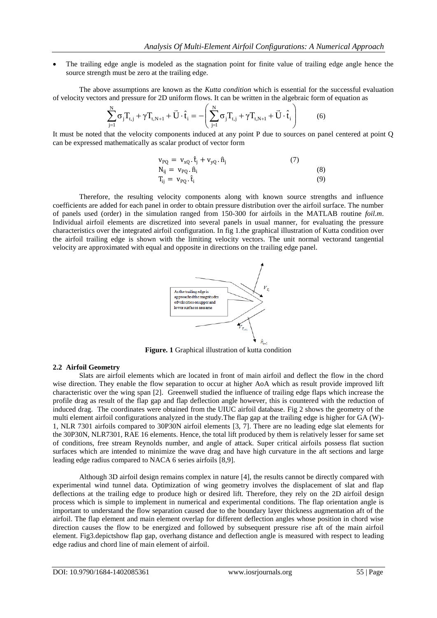The trailing edge angle is modeled as the stagnation point for finite value of trailing edge angle hence the source strength must be zero at the trailing edge.

The above assumptions are known as the *Kutta condition* which is essential for the successful evaluation of velocity vectors and pressure for 2D uniform flows. It can be written in the algebraic form of equation as

$$
\sum_{j=1}^{N} \sigma_j T_{t,j} + \gamma T_{t,N+1} + \vec{U} \cdot \hat{t}_i = -\left(\sum_{j=1}^{N} \sigma_j T_{t,j} + \gamma T_{t,N+1} + \vec{U} \cdot \hat{t}_i\right)
$$
(6)

It must be noted that the velocity components induced at any point P due to sources on panel centered at point Q can be expressed mathematically as scalar product of vector form

$$
v_{PQ} = v_{xQ}.\hat{t}_j + v_{yQ}.\hat{n}_j
$$
  
\n
$$
N_{ij} = v_{PQ}.\hat{n}_i
$$
  
\n
$$
T_{ij} = v_{PQ}.\hat{t}_i
$$
  
\n(8)

Therefore, the resulting velocity components along with known source strengths and influence coefficients are added for each panel in order to obtain pressure distribution over the airfoil surface. The number of panels used (order) in the simulation ranged from 150-300 for airfoils in the MATLAB routine *foil.m*. Individual airfoil elements are discretized into several panels in usual manner, for evaluating the pressure characteristics over the integrated airfoil configuration. In fig 1.the graphical illustration of Kutta condition over the airfoil trailing edge is shown with the limiting velocity vectors. The unit normal vectorand tangential velocity are approximated with equal and opposite in directions on the trailing edge panel.



**Figure. 1** Graphical illustration of kutta condition

#### **2.2 Airfoil Geometry**

Slats are airfoil elements which are located in front of main airfoil and deflect the flow in the chord wise direction. They enable the flow separation to occur at higher AoA which as result provide improved lift characteristic over the wing span [2]. Greenwell studied the influence of trailing edge flaps which increase the profile drag as result of the flap gap and flap deflection angle however, this is countered with the reduction of induced drag. The coordinates were obtained from the UIUC airfoil database. Fig 2 shows the geometry of the multi element airfoil configurations analyzed in the study.The flap gap at the trailing edge is higher for GA (W)- 1, NLR 7301 airfoils compared to 30P30N airfoil elements [3, 7]. There are no leading edge slat elements for the 30P30N, NLR7301, RAE 16 elements. Hence, the total lift produced by them is relatively lesser for same set of conditions, free stream Reynolds number, and angle of attack. Super critical airfoils possess flat suction surfaces which are intended to minimize the wave drag and have high curvature in the aft sections and large leading edge radius compared to NACA 6 series airfoils [8,9].

Although 3D airfoil design remains complex in nature [4], the results cannot be directly compared with experimental wind tunnel data. Optimization of wing geometry involves the displacement of slat and flap deflections at the trailing edge to produce high or desired lift. Therefore, they rely on the 2D airfoil design process which is simple to implement in numerical and experimental conditions. The flap orientation angle is important to understand the flow separation caused due to the boundary layer thickness augmentation aft of the airfoil. The flap element and main element overlap for different deflection angles whose position in chord wise direction causes the flow to be energized and followed by subsequent pressure rise aft of the main airfoil element. Fig3.depictshow flap gap, overhang distance and deflection angle is measured with respect to leading edge radius and chord line of main element of airfoil.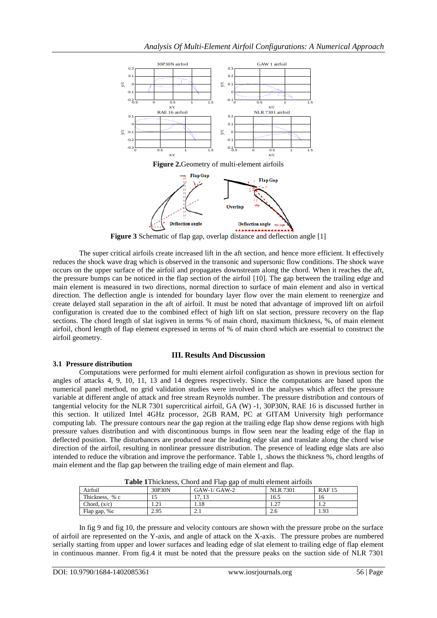



**Figure 3** Schematic of flap gap, overlap distance and deflection angle [1]

The super critical airfoils create increased lift in the aft section, and hence more efficient. It effectively reduces the shock wave drag which is observed in the transonic and supersonic flow conditions. The shock wave occurs on the upper surface of the airfoil and propagates downstream along the chord. When it reaches the aft, the pressure bumps can be noticed in the flap section of the airfoil [10]. The gap between the trailing edge and main element is measured in two directions, normal direction to surface of main element and also in vertical direction. The deflection angle is intended for boundary layer flow over the main element to reenergize and create delayed stall separation in the aft of airfoil. It must be noted that advantage of improved lift on airfoil configuration is created due to the combined effect of high lift on slat section, pressure recovery on the flap sections. The chord length of slat isgiven in terms % of main chord, maximum thickness, %, of main element airfoil, chord length of flap element expressed in terms of % of main chord which are essential to construct the airfoil geometry.

## **III. Results And Discussion**

## **3.1 Pressure distribution**

Computations were performed for multi element airfoil configuration as shown in previous section for angles of attacks 4, 9, 10, 11, 13 and 14 degrees respectively. Since the computations are based upon the numerical panel method, no grid validation studies were involved in the analyses which affect the pressure variable at different angle of attack and free stream Reynolds number. The pressure distribution and contours of tangential velocity for the NLR 7301 supercritical airfoil, GA (W) -1, 30P30N, RAE 16 is discussed further in this section. It utilized Intel 4GHz processor, 2GB RAM, PC at GITAM University high performance computing lab. The pressure contours near the gap region at the trailing edge flap show dense regions with high pressure values distribution and with discontinuous bumps in flow seen near the leading edge of the flap in deflected position. The disturbances are produced near the leading edge slat and translate along the chord wise direction of the airfoil, resulting in nonlinear pressure distribution. The presence of leading edge slats are also intended to reduce the vibration and improve the performance. Table 1, .shows the thickness %, chord lengths of main element and the flap gap between the trailing edge of main element and flap.

| <b>Table 1</b> I mekhess, Chord and Flap gap of multi-element alrions |        |               |                 |              |
|-----------------------------------------------------------------------|--------|---------------|-----------------|--------------|
| Airfoil                                                               | 30P30N | $GAW-1/GAW-2$ | <b>NLR 7301</b> | <b>RAF15</b> |
| Thickness, % c                                                        |        |               | 16.5            |              |
| Chord. $(x/c)$                                                        |        | l.18          | 1.4             |              |
| Flap gap, %c                                                          | 2.95   | 4.1           | 2.6             | 1.93         |

**Table 1**Thickness, Chord and Flap gap of multi element airfoils

In fig 9 and fig 10, the pressure and velocity contours are shown with the pressure probe on the surface of airfoil are represented on the Y-axis, and angle of attack on the X-axis. The pressure probes are numbered serially starting from upper and lower surfaces and leading edge of slat element to trailing edge of flap element in continuous manner. From fig.4 it must be noted that the pressure peaks on the suction side of NLR 7301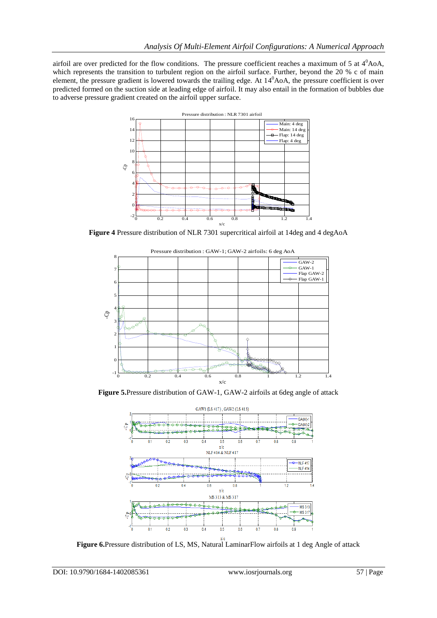airfoil are over predicted for the flow conditions. The pressure coefficient reaches a maximum of 5 at  $4^0$ AoA, which represents the transition to turbulent region on the airfoil surface. Further, beyond the 20 % c of main element, the pressure gradient is lowered towards the trailing edge. At  $14^0$ AoA, the pressure coefficient is over predicted formed on the suction side at leading edge of airfoil. It may also entail in the formation of bubbles due to adverse pressure gradient created on the airfoil upper surface.



**Figure 4** Pressure distribution of NLR 7301 supercritical airfoil at 14deg and 4 degAoA



**Figure 5.**Pressure distribution of GAW-1, GAW-2 airfoils at 6deg angle of attack



**Figure 6.**Pressure distribution of LS, MS, Natural LaminarFlow airfoils at 1 deg Angle of attack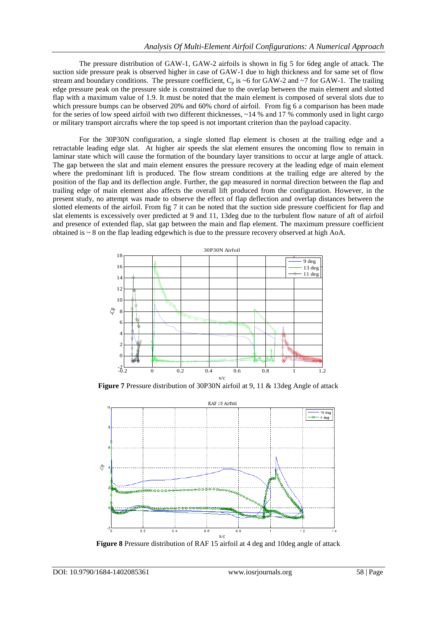The pressure distribution of GAW-1, GAW-2 airfoils is shown in fig 5 for 6deg angle of attack. The suction side pressure peak is observed higher in case of GAW-1 due to high thickness and for same set of flow stream and boundary conditions. The pressure coefficient,  $C_p$  is ~6 for GAW-2 and ~7 for GAW-1. The trailing edge pressure peak on the pressure side is constrained due to the overlap between the main element and slotted flap with a maximum value of 1.9. It must be noted that the main element is composed of several slots due to which pressure bumps can be observed 20% and 60% chord of airfoil. From fig 6 a comparison has been made for the series of low speed airfoil with two different thicknesses, ~14 % and 17 % commonly used in light cargo or military transport aircrafts where the top speed is not important criterion than the payload capacity.

For the 30P30N configuration, a single slotted flap element is chosen at the trailing edge and a retractable leading edge slat. At higher air speeds the slat element ensures the oncoming flow to remain in laminar state which will cause the formation of the boundary layer transitions to occur at large angle of attack. The gap between the slat and main element ensures the pressure recovery at the leading edge of main element where the predominant lift is produced. The flow stream conditions at the trailing edge are altered by the position of the flap and its deflection angle. Further, the gap measured in normal direction between the flap and trailing edge of main element also affects the overall lift produced from the configuration. However, in the present study, no attempt was made to observe the effect of flap deflection and overlap distances between the slotted elements of the airfoil. From fig 7 it can be noted that the suction side pressure coefficient for flap and slat elements is excessively over predicted at 9 and 11, 13deg due to the turbulent flow nature of aft of airfoil and presence of extended flap, slat gap between the main and flap element. The maximum pressure coefficient obtained is  $\sim 8$  on the flap leading edgewhich is due to the pressure recovery observed at high AoA.



**Figure 7** Pressure distribution of 30P30N airfoil at 9, 11 & 13deg Angle of attack



**Figure 8** Pressure distribution of RAF 15 airfoil at 4 deg and 10deg angle of attack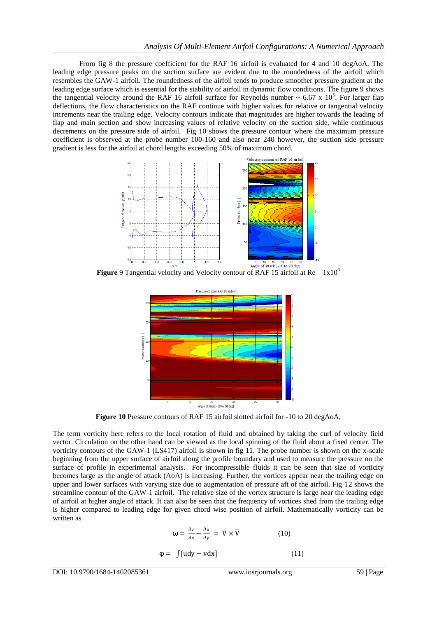From fig 8 the pressure coefficient for the RAF 16 airfoil is evaluated for 4 and 10 degAoA. The leading edge pressure peaks on the suction surface are evident due to the roundedness of the airfoil which resembles the GAW-1 airfoil. The roundedness of the airfoil tends to produce smoother pressure gradient at the leading edge surface which is essential for the stability of airfoil in dynamic flow conditions. The figure 9 shows the tangential velocity around the RAF 16 airfoil surface for Reynolds number  $\sim 6.67 \times 10^5$ . For larger flap deflections, the flow characteristics on the RAF continue with higher values for relative or tangential velocity increments near the trailing edge. Velocity contours indicate that magnitudes are higher towards the leading of flap and main section and show increasing values of relative velocity on the suction side, while continuous decrements on the pressure side of airfoil. Fig 10 shows the pressure contour where the maximum pressure coefficient is observed at the probe number 100-160 and also near 240 however, the suction side pressure gradient is less for the airfoil at chord lengths exceeding 50% of maximum chord.



**Figure** 9 Tangential velocity and Velocity contour of RAF 15 airfoil at Re –  $1 \times 10^{6}$ 



**Figure 10** Pressure contours of RAF 15 airfoil slotted airfoil for -10 to 20 degAoA,

The term vorticity here refers to the local rotation of fluid and obtained by taking the curl of velocity field vector. Circulation on the other hand can be viewed as the local spinning of the fluid about a fixed center. The vorticity contours of the GAW-1 (LS417) airfoil is shown in fig 11. The probe number is shown on the x-scale beginning from the upper surface of airfoil along the profile boundary and used to measure the pressure on the surface of profile in experimental analysis. For incompressible fluids it can be seen that size of vorticity becomes large as the angle of attack (AoA) is increasing. Further, the vortices appear near the trailing edge on upper and lower surfaces with varying size due to augmentation of pressure aft of the airfoil. Fig 12 shows the streamline contour of the GAW-1 airfoil. The relative size of the vortex structure is large near the leading edge of airfoil at higher angle of attack. It can also be seen that the frequency of vortices shed from the trailing edge is higher compared to leading edge for given chord wise position of airfoil. Mathematically vorticity can be written as

$$
\omega = \frac{\partial v}{\partial x} - \frac{\partial u}{\partial y} = \nabla \times \overline{V}
$$
 (10)  

$$
\varphi = \int [udy - vdx] \qquad (11)
$$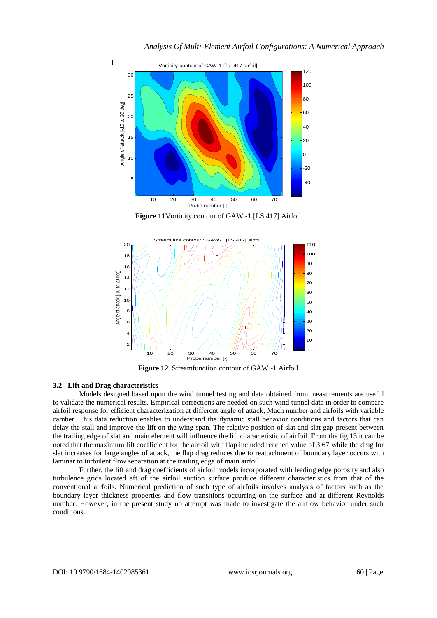

**Figure 11**Vorticity contour of GAW -1 [LS 417] Airfoil



**Figure 12** Streamfunction contour of GAW -1 Airfoil

## **3.2 Lift and Drag characteristics**

 $\overline{1}$ 

 $\overline{1}$ 

Models designed based upon the wind tunnel testing and data obtained from measurements are useful to validate the numerical results. Empirical corrections are needed on such wind tunnel data in order to compare airfoil response for efficient characterization at different angle of attack, Mach number and airfoils with variable camber. This data reduction enables to understand the dynamic stall behavior conditions and factors that can delay the stall and improve the lift on the wing span. The relative position of slat and slat gap present between the trailing edge of slat and main element will influence the lift characteristic of airfoil. From the fig 13 it can be noted that the maximum lift coefficient for the airfoil with flap included reached value of 3.67 while the drag for slat increases for large angles of attack, the flap drag reduces due to reattachment of boundary layer occurs with laminar to turbulent flow separation at the trailing edge of main airfoil.

Further, the lift and drag coefficients of airfoil models incorporated with leading edge porosity and also turbulence grids located aft of the airfoil suction surface produce different characteristics from that of the conventional airfoils. Numerical prediction of such type of airfoils involves analysis of factors such as the boundary layer thickness properties and flow transitions occurring on the surface and at different Reynolds number. However, in the present study no attempt was made to investigate the airflow behavior under such conditions.